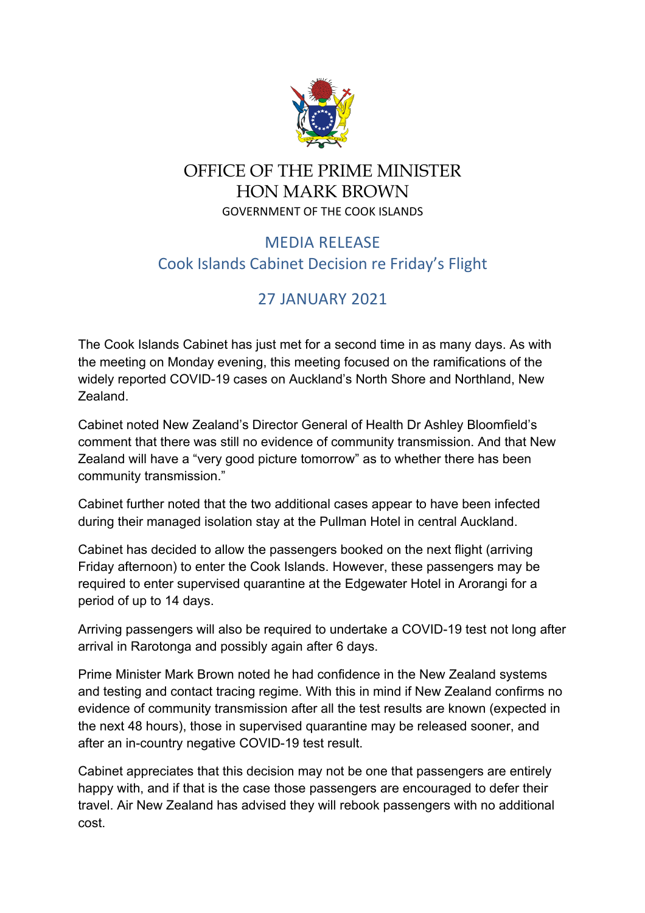

## OFFICE OF THE PRIME MINISTER HON MARK BROWN GOVERNMENT OF THE COOK ISLANDS

## MEDIA RELEASE Cook Islands Cabinet Decision re Friday's Flight

## 27 JANUARY 2021

The Cook Islands Cabinet has just met for a second time in as many days. As with the meeting on Monday evening, this meeting focused on the ramifications of the widely reported COVID-19 cases on Auckland's North Shore and Northland, New Zealand.

Cabinet noted New Zealand's Director General of Health Dr Ashley Bloomfield's comment that there was still no evidence of community transmission. And that New Zealand will have a "very good picture tomorrow" as to whether there has been community transmission."

Cabinet further noted that the two additional cases appear to have been infected during their managed isolation stay at the Pullman Hotel in central Auckland.

Cabinet has decided to allow the passengers booked on the next flight (arriving Friday afternoon) to enter the Cook Islands. However, these passengers may be required to enter supervised quarantine at the Edgewater Hotel in Arorangi for a period of up to 14 days.

Arriving passengers will also be required to undertake a COVID-19 test not long after arrival in Rarotonga and possibly again after 6 days.

Prime Minister Mark Brown noted he had confidence in the New Zealand systems and testing and contact tracing regime. With this in mind if New Zealand confirms no evidence of community transmission after all the test results are known (expected in the next 48 hours), those in supervised quarantine may be released sooner, and after an in-country negative COVID-19 test result.

Cabinet appreciates that this decision may not be one that passengers are entirely happy with, and if that is the case those passengers are encouraged to defer their travel. Air New Zealand has advised they will rebook passengers with no additional cost.